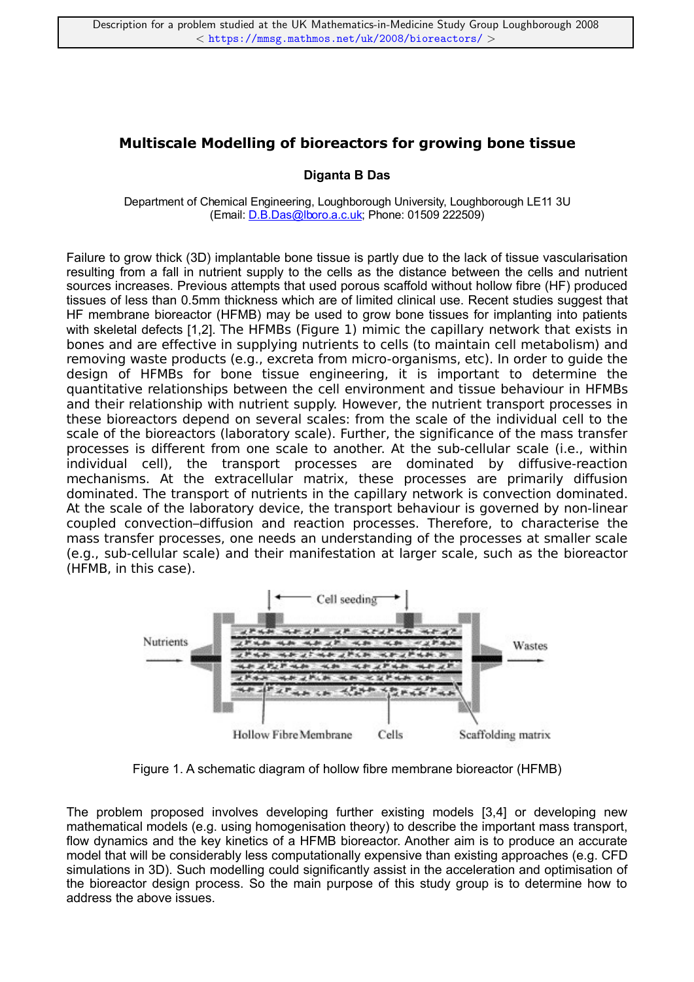## **Multiscale Modelling of bioreactors for growing bone tissue**

## **Diganta B Das**

Department of Chemical Engineering, Loughborough University, Loughborough LE11 3U (Email: D.B.Das@lboro.a.c.uk; Phone: 01509 222509)

Failure to grow thick (3D) implantable bone tissue is partly due to the lack of tissue vascularisation resulting from a fall in nutrient supply to the cells as the distance between the cells and nutrient sources increases. Previous attempts that used porous scaffold without hollow fibre (HF) produced tissues of less than 0.5mm thickness which are of limited clinical use. Recent studies suggest that HF membrane bioreactor (HFMB) may be used to grow bone tissues for implanting into patients with skeletal defects [1,2]. The HFMBs (Figure 1) mimic the capillary network that exists in bones and are effective in supplying nutrients to cells (to maintain cell metabolism) and removing waste products (e.g., excreta from micro-organisms, etc). In order to guide the design of HFMBs for bone tissue engineering, it is important to determine the quantitative relationships between the cell environment and tissue behaviour in HFMBs and their relationship with nutrient supply. However, the nutrient transport processes in these bioreactors depend on several scales: from the scale of the individual cell to the scale of the bioreactors (laboratory scale). Further, the significance of the mass transfer processes is different from one scale to another. At the sub-cellular scale (i.e., within individual cell), the transport processes are dominated by diffusive-reaction mechanisms. At the extracellular matrix, these processes are primarily diffusion dominated. The transport of nutrients in the capillary network is convection dominated. At the scale of the laboratory device, the transport behaviour is governed by non-linear coupled convection–diffusion and reaction processes. Therefore, to characterise the mass transfer processes, one needs an understanding of the processes at smaller scale (e.g., sub-cellular scale) and their manifestation at larger scale, such as the bioreactor (HFMB, in this case).



Figure 1. A schematic diagram of hollow fibre membrane bioreactor (HFMB)

The problem proposed involves developing further existing models [3,4] or developing new mathematical models (e.g. using homogenisation theory) to describe the important mass transport, flow dynamics and the key kinetics of a HFMB bioreactor. Another aim is to produce an accurate model that will be considerably less computationally expensive than existing approaches (e.g. CFD simulations in 3D). Such modelling could significantly assist in the acceleration and optimisation of the bioreactor design process. So the main purpose of this study group is to determine how to address the above issues.